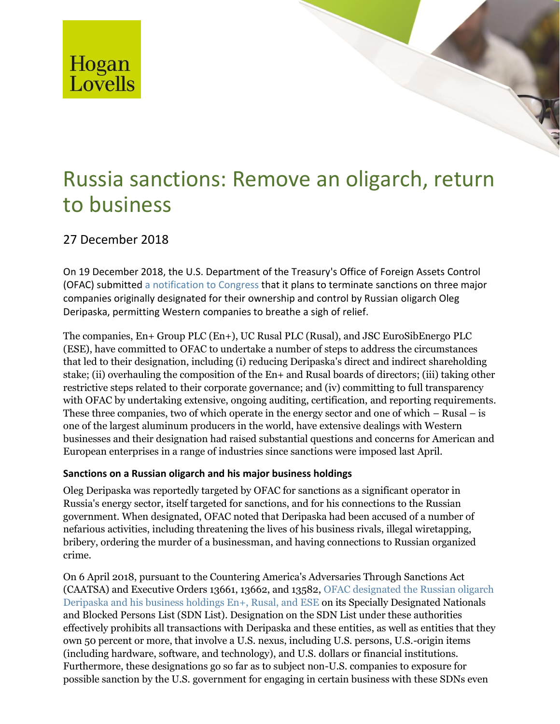

# Russia sanctions: Remove an oligarch, return to business

## 27 December 2018

On 19 December 2018, the U.S. Department of the Treasury's Office of Foreign Assets Control (OFAC) submitted [a notification to Congress](https://www.treasury.gov/resource-center/sanctions/OFAC-Enforcement/Documents/20181219_notification_removal.pdf) that it plans to terminate sanctions on three major companies originally designated for their ownership and control by Russian oligarch Oleg Deripaska, permitting Western companies to breathe a sigh of relief.

The companies, En+ Group PLC (En+), UC Rusal PLC (Rusal), and JSC EuroSibEnergo PLC (ESE), have committed to OFAC to undertake a number of steps to address the circumstances that led to their designation, including (i) reducing Deripaska's direct and indirect shareholding stake; (ii) overhauling the composition of the En+ and Rusal boards of directors; (iii) taking other restrictive steps related to their corporate governance; and (iv) committing to full transparency with OFAC by undertaking extensive, ongoing auditing, certification, and reporting requirements. These three companies, two of which operate in the energy sector and one of which – Rusal – is one of the largest aluminum producers in the world, have extensive dealings with Western businesses and their designation had raised substantial questions and concerns for American and European enterprises in a range of industries since sanctions were imposed last April.

### **Sanctions on a Russian oligarch and his major business holdings**

Oleg Deripaska was reportedly targeted by OFAC for sanctions as a significant operator in Russia's energy sector, itself targeted for sanctions, and for his connections to the Russian government. When designated, OFAC noted that Deripaska had been accused of a number of nefarious activities, including threatening the lives of his business rivals, illegal wiretapping, bribery, ordering the murder of a businessman, and having connections to Russian organized crime.

On 6 April 2018, pursuant to the Countering America's Adversaries Through Sanctions Act (CAATSA) and Executive Orders 13661, 13662, and 13582, [OFAC designated the Russian oligarch](https://www.treasury.gov/resource-center/sanctions/OFAC-Enforcement/Pages/20180406.aspx)  [Deripaska and his business holdings En+, Rusal, and ESE](https://www.treasury.gov/resource-center/sanctions/OFAC-Enforcement/Pages/20180406.aspx) on its Specially Designated Nationals and Blocked Persons List (SDN List). Designation on the SDN List under these authorities effectively prohibits all transactions with Deripaska and these entities, as well as entities that they own 50 percent or more, that involve a U.S. nexus, including U.S. persons, U.S.-origin items (including hardware, software, and technology), and U.S. dollars or financial institutions. Furthermore, these designations go so far as to subject non-U.S. companies to exposure for possible sanction by the U.S. government for engaging in certain business with these SDNs even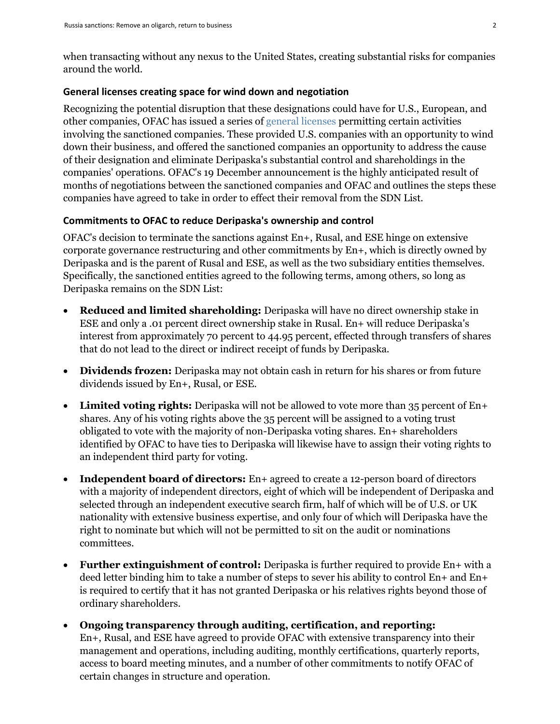when transacting without any nexus to the United States, creating substantial risks for companies around the world.

#### **General licenses creating space for wind down and negotiation**

Recognizing the potential disruption that these designations could have for U.S., European, and other companies, OFAC has issued a series of [general licenses](https://www.treasury.gov/resource-center/sanctions/Programs/Documents/ukraine_gl14d.pdf) permitting certain activities involving the sanctioned companies. These provided U.S. companies with an opportunity to wind down their business, and offered the sanctioned companies an opportunity to address the cause of their designation and eliminate Deripaska's substantial control and shareholdings in the companies' operations. OFAC's 19 December announcement is the highly anticipated result of months of negotiations between the sanctioned companies and OFAC and outlines the steps these companies have agreed to take in order to effect their removal from the SDN List.

#### **Commitments to OFAC to reduce Deripaska's ownership and control**

OFAC's decision to terminate the sanctions against En+, Rusal, and ESE hinge on extensive corporate governance restructuring and other commitments by En+, which is directly owned by Deripaska and is the parent of Rusal and ESE, as well as the two subsidiary entities themselves. Specifically, the sanctioned entities agreed to the following terms, among others, so long as Deripaska remains on the SDN List:

- **Reduced and limited shareholding:** Deripaska will have no direct ownership stake in ESE and only a .01 percent direct ownership stake in Rusal. En+ will reduce Deripaska's interest from approximately 70 percent to 44.95 percent, effected through transfers of shares that do not lead to the direct or indirect receipt of funds by Deripaska.
- **Dividends frozen:** Deripaska may not obtain cash in return for his shares or from future dividends issued by En+, Rusal, or ESE.
- Limited voting rights: Deripaska will not be allowed to vote more than 35 percent of En+ shares. Any of his voting rights above the 35 percent will be assigned to a voting trust obligated to vote with the majority of non-Deripaska voting shares. En+ shareholders identified by OFAC to have ties to Deripaska will likewise have to assign their voting rights to an independent third party for voting.
- **Independent board of directors:** En+ agreed to create a 12-person board of directors with a majority of independent directors, eight of which will be independent of Deripaska and selected through an independent executive search firm, half of which will be of U.S. or UK nationality with extensive business expertise, and only four of which will Deripaska have the right to nominate but which will not be permitted to sit on the audit or nominations committees.
- **Further extinguishment of control:** Deripaska is further required to provide En+ with a deed letter binding him to take a number of steps to sever his ability to control En+ and En+ is required to certify that it has not granted Deripaska or his relatives rights beyond those of ordinary shareholders.
- **Ongoing transparency through auditing, certification, and reporting:** En+, Rusal, and ESE have agreed to provide OFAC with extensive transparency into their management and operations, including auditing, monthly certifications, quarterly reports, access to board meeting minutes, and a number of other commitments to notify OFAC of certain changes in structure and operation.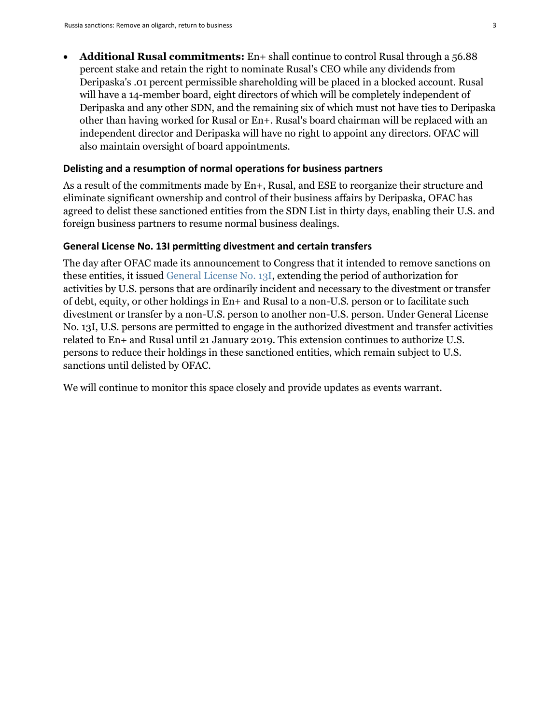**Additional Rusal commitments:** En+ shall continue to control Rusal through a 56.88 percent stake and retain the right to nominate Rusal's CEO while any dividends from Deripaska's .01 percent permissible shareholding will be placed in a blocked account. Rusal will have a 14-member board, eight directors of which will be completely independent of Deripaska and any other SDN, and the remaining six of which must not have ties to Deripaska other than having worked for Rusal or En+. Rusal's board chairman will be replaced with an independent director and Deripaska will have no right to appoint any directors. OFAC will also maintain oversight of board appointments.

#### **Delisting and a resumption of normal operations for business partners**

As a result of the commitments made by En+, Rusal, and ESE to reorganize their structure and eliminate significant ownership and control of their business affairs by Deripaska, OFAC has agreed to delist these sanctioned entities from the SDN List in thirty days, enabling their U.S. and foreign business partners to resume normal business dealings.

#### **General License No. 13I permitting divestment and certain transfers**

The day after OFAC made its announcement to Congress that it intended to remove sanctions on these entities, it issued [General License No. 13I,](https://www.treasury.gov/resource-center/sanctions/Programs/Documents/ukraine_gl13i.pdf) extending the period of authorization for activities by U.S. persons that are ordinarily incident and necessary to the divestment or transfer of debt, equity, or other holdings in En+ and Rusal to a non-U.S. person or to facilitate such divestment or transfer by a non-U.S. person to another non-U.S. person. Under General License No. 13I, U.S. persons are permitted to engage in the authorized divestment and transfer activities related to En+ and Rusal until 21 January 2019. This extension continues to authorize U.S. persons to reduce their holdings in these sanctioned entities, which remain subject to U.S. sanctions until delisted by OFAC.

We will continue to monitor this space closely and provide updates as events warrant.